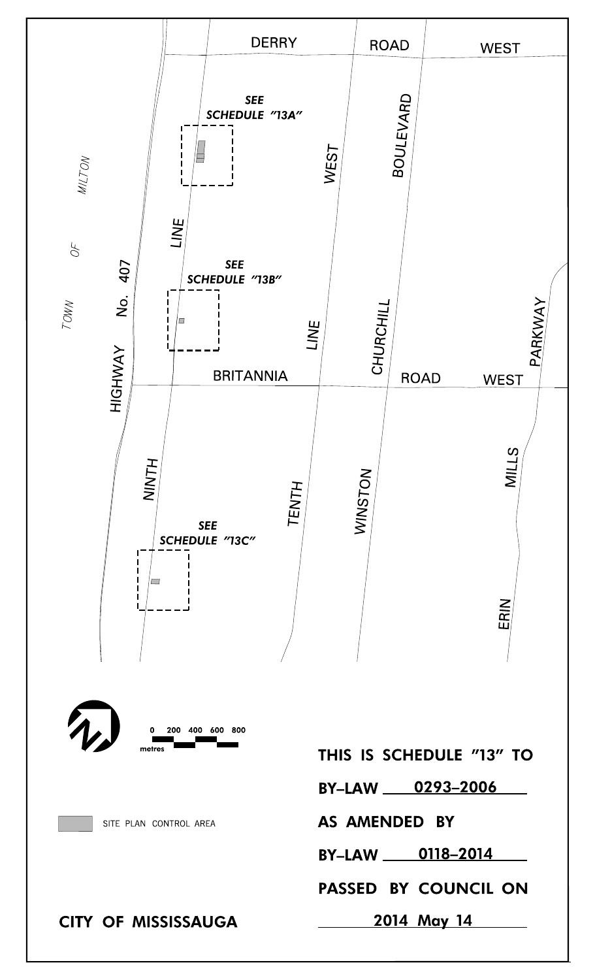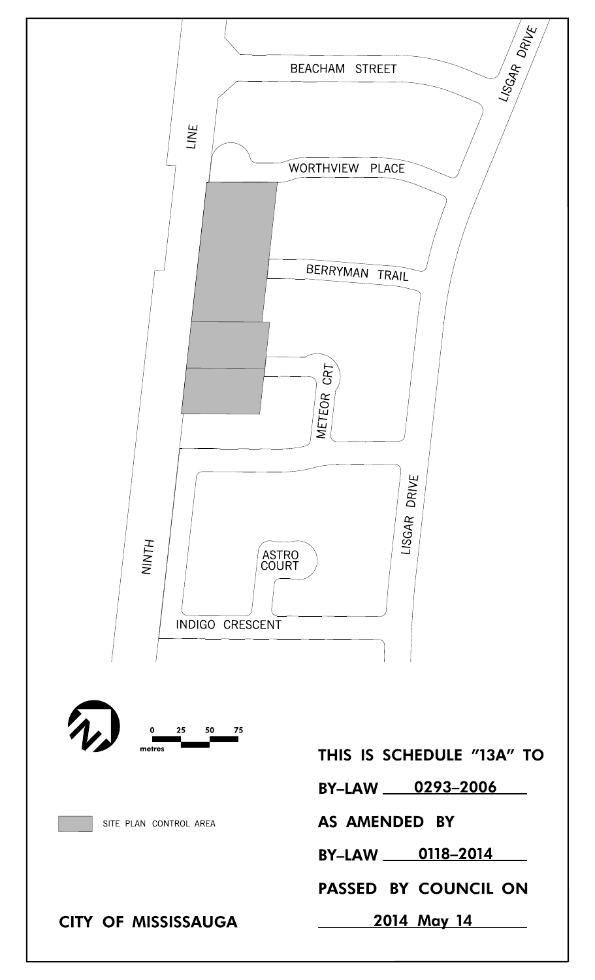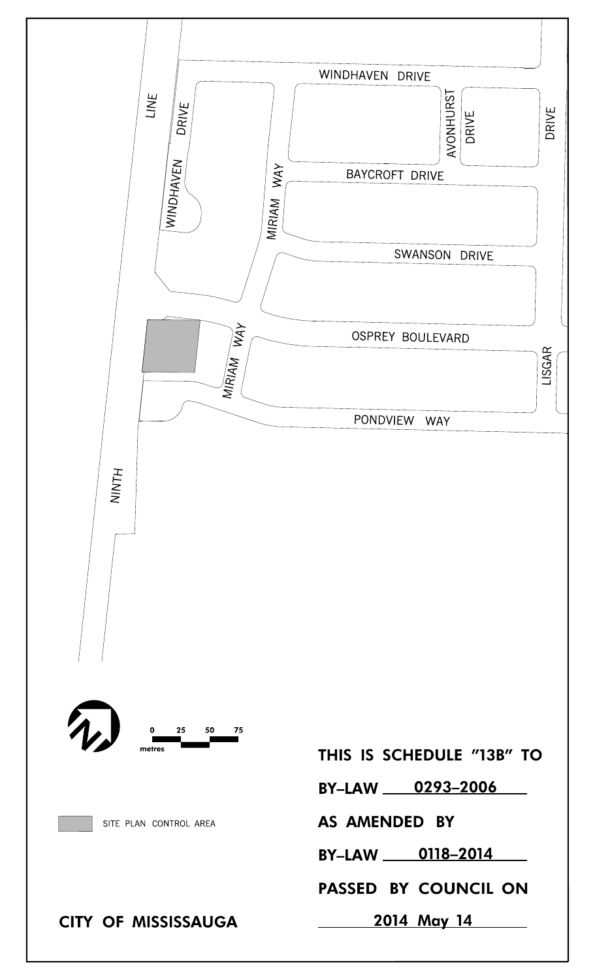